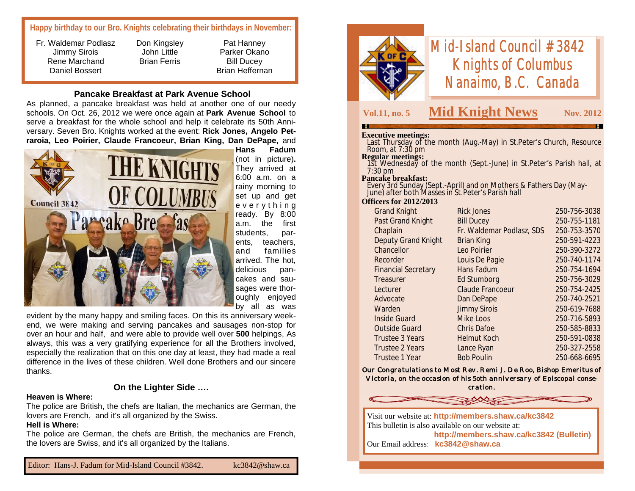#### **Happy birthday to our Bro. Knights celebrating their birthdays in November:**

- Fr. Waldemar Podlasz Jimmy Sirois Rene Marchand Daniel Bossert
- Don Kingsley John Little Brian Ferris

Pat Hanney Parker Okano Bill Ducey Brian Heffernan

#### **Pancake Breakfast at Park Avenue School**

As planned, a pancake breakfast was held at another one of our needy schools. On Oct. 26, 2012 we were once again at **Park Avenue School** to serve a breakfast for the whole school and help it celebrate its 50th Anniversary. Seven Bro. Knights worked at the event: **Rick Jones, Angelo Petraroia, Leo Poirier, Claude Francoeur, Brian King, Dan DePape,** and



(not in picture)**.**  They arrived at 6:00 a.m. on a rainy morning to set up and get e v e r y t h i n g ready. By 8:00 a.m. the first students, parents, teachers, and families arrived. The hot, delicious pancakes and sausages were thoroughly enjoyed by all as was

evident by the many happy and smiling faces. On this its anniversary weekend, we were making and serving pancakes and sausages non-stop for over an hour and half, and were able to provide well over **500** helpings, As always, this was a very gratifying experience for all the Brothers involved, especially the realization that on this one day at least, they had made a real difference in the lives of these children. Well done Brothers and our sincere thanks.

#### **On the Lighter Side ….**

#### **Heaven is Where:**

The police are British, the chefs are Italian, the mechanics are German, the lovers are French, and it's all organized by the Swiss.

#### **Hell is Where:**

The police are German, the chefs are British, the mechanics are French, the lovers are Swiss, and it's all organized by the Italians.



# *Mid-Island Council #3842 Knights of Columbus Nanaimo, B.C. Canada*

## **Vol.11, no. 5 Mid Knight News Nov. 2012**

#### **Executive meetings:**

 Last Thursday of the month (Aug.-May) in St.Peter's Church, Resource Room, at 7:30 pm

#### **Regular meetings:**

 1st Wednesday of the month (Sept.-June) in St.Peter's Parish hall, at 7:30 pm

#### **Pancake breakfast:**

 Every 3rd Sunday (Sept.-April) and on Mothers & Fathers Day (May-June) after both Masses in St.Peter's Parish hall

#### **Officers for 2012/2013**

| <b>Grand Knight</b>        | <b>Rick Jones</b>         | 250-756-3038 |
|----------------------------|---------------------------|--------------|
| Past Grand Knight          | <b>Bill Ducey</b>         | 250-755-1181 |
| Chaplain                   | Fr. Waldemar Podlasz, SDS | 250-753-3570 |
| <b>Deputy Grand Knight</b> | <b>Brian King</b>         | 250-591-4223 |
| Chancellor                 | Leo Poirier               | 250-390-3272 |
| Recorder                   | Louis De Pagie            | 250-740-1174 |
| <b>Financial Secretary</b> | Hans Fadum                | 250-754-1694 |
| Treasurer                  | Ed Stumborg               | 250-756-3029 |
| Lecturer                   | <b>Claude Francoeur</b>   | 250-754-2425 |
| Advocate                   | Dan DePape                | 250-740-2521 |
| Warden                     | <b>Jimmy Sirois</b>       | 250-619-7688 |
| <b>Inside Guard</b>        | <b>Mike Loos</b>          | 250-716-5893 |
| <b>Outside Guard</b>       | <b>Chris Dafoe</b>        | 250-585-8833 |
| Trustee 3 Years            | <b>Helmut Koch</b>        | 250-591-0838 |
| <b>Trustee 2 Years</b>     | Lance Ryan                | 250-327-2558 |
| Trustee 1 Year             | <b>Bob Poulin</b>         | 250-668-6695 |
|                            |                           |              |

*Our Congratulations to Most Rev. Remi J. De Roo, Bishop Emeritus of Victoria, on the occasion of his 5oth anniversary of Episcopal consecration.*